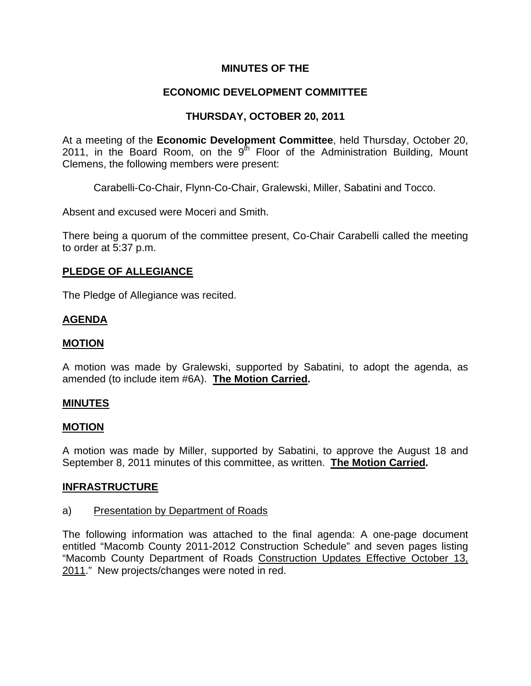## **MINUTES OF THE**

# **ECONOMIC DEVELOPMENT COMMITTEE**

# **THURSDAY, OCTOBER 20, 2011**

At a meeting of the **Economic Development Committee**, held Thursday, October 20, 2011, in the Board Room, on the  $9<sup>th</sup>$  Floor of the Administration Building, Mount Clemens, the following members were present:

Carabelli-Co-Chair, Flynn-Co-Chair, Gralewski, Miller, Sabatini and Tocco.

Absent and excused were Moceri and Smith.

There being a quorum of the committee present, Co-Chair Carabelli called the meeting to order at 5:37 p.m.

### **PLEDGE OF ALLEGIANCE**

The Pledge of Allegiance was recited.

### **AGENDA**

### **MOTION**

A motion was made by Gralewski, supported by Sabatini, to adopt the agenda, as amended (to include item #6A). **The Motion Carried.** 

### **MINUTES**

### **MOTION**

A motion was made by Miller, supported by Sabatini, to approve the August 18 and September 8, 2011 minutes of this committee, as written. **The Motion Carried.** 

### **INFRASTRUCTURE**

### a) Presentation by Department of Roads

The following information was attached to the final agenda: A one-page document entitled "Macomb County 2011-2012 Construction Schedule" and seven pages listing "Macomb County Department of Roads Construction Updates Effective October 13, 2011." New projects/changes were noted in red.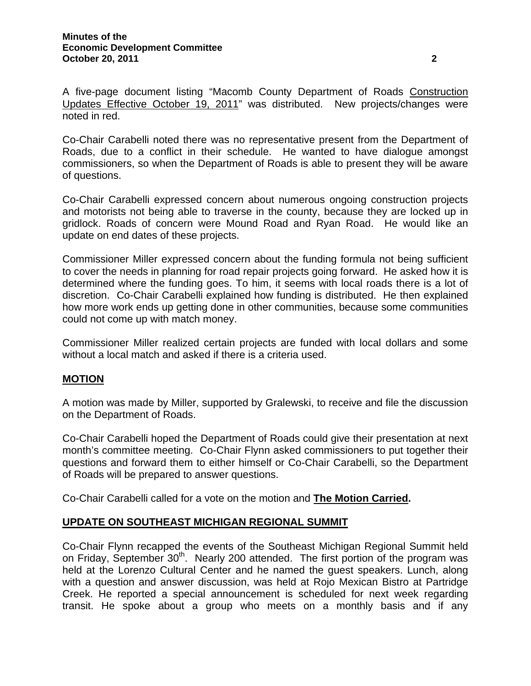A five-page document listing "Macomb County Department of Roads Construction Updates Effective October 19, 2011" was distributed. New projects/changes were noted in red.

Co-Chair Carabelli noted there was no representative present from the Department of Roads, due to a conflict in their schedule. He wanted to have dialogue amongst commissioners, so when the Department of Roads is able to present they will be aware of questions.

Co-Chair Carabelli expressed concern about numerous ongoing construction projects and motorists not being able to traverse in the county, because they are locked up in gridlock. Roads of concern were Mound Road and Ryan Road. He would like an update on end dates of these projects.

Commissioner Miller expressed concern about the funding formula not being sufficient to cover the needs in planning for road repair projects going forward. He asked how it is determined where the funding goes. To him, it seems with local roads there is a lot of discretion. Co-Chair Carabelli explained how funding is distributed. He then explained how more work ends up getting done in other communities, because some communities could not come up with match money.

Commissioner Miller realized certain projects are funded with local dollars and some without a local match and asked if there is a criteria used.

### **MOTION**

A motion was made by Miller, supported by Gralewski, to receive and file the discussion on the Department of Roads.

Co-Chair Carabelli hoped the Department of Roads could give their presentation at next month's committee meeting. Co-Chair Flynn asked commissioners to put together their questions and forward them to either himself or Co-Chair Carabelli, so the Department of Roads will be prepared to answer questions.

Co-Chair Carabelli called for a vote on the motion and **The Motion Carried.** 

### **UPDATE ON SOUTHEAST MICHIGAN REGIONAL SUMMIT**

Co-Chair Flynn recapped the events of the Southeast Michigan Regional Summit held on Friday, September 30<sup>th</sup>. Nearly 200 attended. The first portion of the program was held at the Lorenzo Cultural Center and he named the guest speakers. Lunch, along with a question and answer discussion, was held at Rojo Mexican Bistro at Partridge Creek. He reported a special announcement is scheduled for next week regarding transit. He spoke about a group who meets on a monthly basis and if any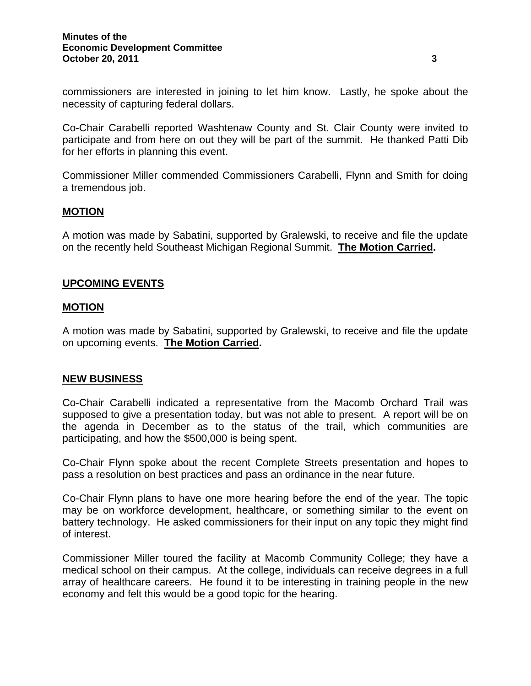commissioners are interested in joining to let him know. Lastly, he spoke about the necessity of capturing federal dollars.

Co-Chair Carabelli reported Washtenaw County and St. Clair County were invited to participate and from here on out they will be part of the summit. He thanked Patti Dib for her efforts in planning this event.

Commissioner Miller commended Commissioners Carabelli, Flynn and Smith for doing a tremendous job.

### **MOTION**

A motion was made by Sabatini, supported by Gralewski, to receive and file the update on the recently held Southeast Michigan Regional Summit. **The Motion Carried.** 

### **UPCOMING EVENTS**

### **MOTION**

A motion was made by Sabatini, supported by Gralewski, to receive and file the update on upcoming events. **The Motion Carried.** 

### **NEW BUSINESS**

Co-Chair Carabelli indicated a representative from the Macomb Orchard Trail was supposed to give a presentation today, but was not able to present. A report will be on the agenda in December as to the status of the trail, which communities are participating, and how the \$500,000 is being spent.

Co-Chair Flynn spoke about the recent Complete Streets presentation and hopes to pass a resolution on best practices and pass an ordinance in the near future.

Co-Chair Flynn plans to have one more hearing before the end of the year. The topic may be on workforce development, healthcare, or something similar to the event on battery technology. He asked commissioners for their input on any topic they might find of interest.

Commissioner Miller toured the facility at Macomb Community College; they have a medical school on their campus. At the college, individuals can receive degrees in a full array of healthcare careers. He found it to be interesting in training people in the new economy and felt this would be a good topic for the hearing.